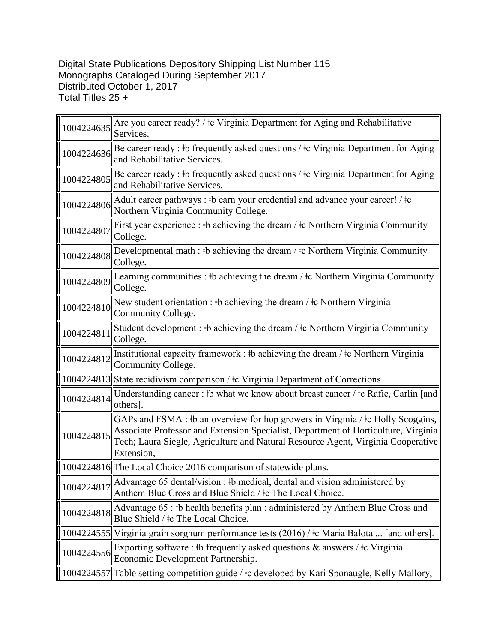## Digital State Publications Depository Shipping List Number 115 Monographs Cataloged During September 2017 Distributed October 1, 2017 Total Titles 25 +

| 1004224635 | Are you career ready? / $\pm c$ Virginia Department for Aging and Rehabilitative<br>Services.                                                                                                                                                                                |
|------------|------------------------------------------------------------------------------------------------------------------------------------------------------------------------------------------------------------------------------------------------------------------------------|
| 1004224636 | Be career ready : #b frequently asked questions / $\pm c$ Virginia Department for Aging<br>and Rehabilitative Services.                                                                                                                                                      |
| 1004224805 | Be career ready : #b frequently asked questions / $\pm c$ Virginia Department for Aging<br>and Rehabilitative Services.                                                                                                                                                      |
| 1004224806 | Adult career pathways : #b earn your credential and advance your career! / $\pm c$<br>Northern Virginia Community College.                                                                                                                                                   |
| 1004224807 | First year experience : #b achieving the dream / $\pm$ c Northern Virginia Community<br>College.                                                                                                                                                                             |
| 1004224808 | Developmental math : $\frac{1}{2}$ b achieving the dream / $\frac{1}{2}$ Northern Virginia Community<br>College.                                                                                                                                                             |
| 1004224809 | Learning communities : $\#$ achieving the dream / $\#$ c Northern Virginia Community<br>College.                                                                                                                                                                             |
| 1004224810 | New student orientation : $\frac{1}{2}$ b achieving the dream / $\frac{1}{2}$ Northern Virginia<br>Community College.                                                                                                                                                        |
| 1004224811 | Student development : #b achieving the dream / $\pm$ c Northern Virginia Community<br>College.                                                                                                                                                                               |
| 1004224812 | Institutional capacity framework : #b achieving the dream / $\pm c$ Northern Virginia<br>Community College.                                                                                                                                                                  |
|            | 1004224813 State recidivism comparison / ‡c Virginia Department of Corrections.                                                                                                                                                                                              |
| 1004224814 | Understanding cancer: #b what we know about breast cancer / $\pm c$ Rafie, Carlin [and]<br>others].                                                                                                                                                                          |
| 1004224815 | GAPs and FSMA : #b an overview for hop growers in Virginia / $\pm c$ Holly Scoggins,<br>Associate Professor and Extension Specialist, Department of Horticulture, Virginia<br>Tech; Laura Siegle, Agriculture and Natural Resource Agent, Virginia Cooperative<br>Extension, |
|            | 1004224816 The Local Choice 2016 comparison of statewide plans.                                                                                                                                                                                                              |
| 1004224817 | Advantage 65 dental/vision : #b medical, dental and vision administered by<br>Anthem Blue Cross and Blue Shield / ‡c The Local Choice.                                                                                                                                       |
| 1004224818 | Advantage 65 : #b health benefits plan : administered by Anthem Blue Cross and<br>Blue Shield / ‡c The Local Choice.                                                                                                                                                         |
|            | 1004224555 Virginia grain sorghum performance tests (2016) / ‡c Maria Balota  [and others].                                                                                                                                                                                  |
| 1004224556 | Exporting software : #b frequently asked questions & answers / $\pm c$ Virginia<br>Economic Development Partnership.                                                                                                                                                         |
|            | 1004224557  Table setting competition guide / ‡c developed by Kari Sponaugle, Kelly Mallory,                                                                                                                                                                                 |